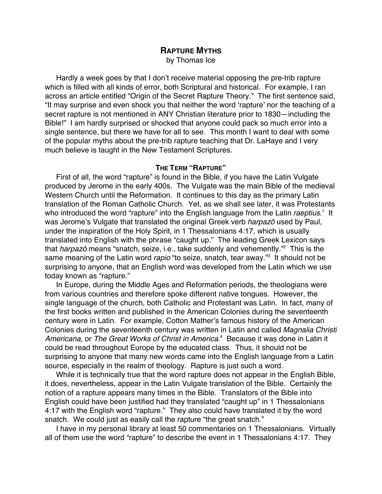# **RAPTURE MYTHS**

by Thomas Ice

Hardly a week goes by that I don't receive material opposing the pre-trib rapture which is filled with all kinds of error, both Scriptural and historical. For example, I ran across an article entitled "Origin of the Secret Rapture Theory." The first sentence said, "It may surprise and even shock you that neither the word 'rapture' nor the teaching of a secret rapture is not mentioned in ANY Christian literature prior to 1830—including the Bible!" I am hardly surprised or shocked that anyone could pack so much error into a single sentence, but there we have for all to see. This month I want to deal with some of the popular myths about the pre-trib rapture teaching that Dr. LaHaye and I very much believe is taught in the New Testament Scriptures.

## **THE TERM "RAPTURE"**

First of all, the word "rapture" is found in the Bible, if you have the Latin Vulgate produced by Jerome in the early 400s. The Vulgate was the main Bible of the medieval Western Church until the Reformation. It continues to this day as the primary Latin translation of the Roman Catholic Church. Yet, as we shall see later, it was Protestants who introduced the word "rapture" into the English language from the Latin raeptius.<sup>1</sup> It was Jerome's Vulgate that translated the original Greek verb harpazô used by Paul, under the inspiration of the Holy Spirit, in 1 Thessalonians 4:17, which is usually translated into English with the phrase "caught up." The leading Greek Lexicon says that *harpazô* means "snatch, seize, i.e., take suddenly and vehemently."<sup>2</sup> This is the same meaning of the Latin word rapio "to seize, snatch, tear away."<sup>3</sup> It should not be surprising to anyone, that an English word was developed from the Latin which we use today known as "rapture."

In Europe, during the Middle Ages and Reformation periods, the theologians were from various countries and therefore spoke different native tongues. However, the single language of the church, both Catholic and Protestant was Latin. In fact, many of the first books written and published in the American Colonies during the seventeenth century were in Latin. For example, Cotton Mather's famous history of the American Colonies during the seventeenth century was written in Latin and called Magnalia Christi Americana, or The Great Works of Christ in America.<sup>4</sup> Because it was done in Latin it could be read throughout Europe by the educated class. Thus, it should not be surprising to anyone that many new words came into the English language from a Latin source, especially in the realm of theology. Rapture is just such a word.

While it is technically true that the word rapture does not appear in the English Bible, it does, nevertheless, appear in the Latin Vulgate translation of the Bible. Certainly the notion of a rapture appears many times in the Bible. Translators of the Bible into English could have been justified had they translated "caught up" in 1 Thessalonians 4:17 with the English word "rapture." They also could have translated it by the word snatch. We could just as easily call the rapture "the great snatch."

I have in my personal library at least 50 commentaries on 1 Thessalonians. Virtually all of them use the word "rapture" to describe the event in 1 Thessalonians 4:17. They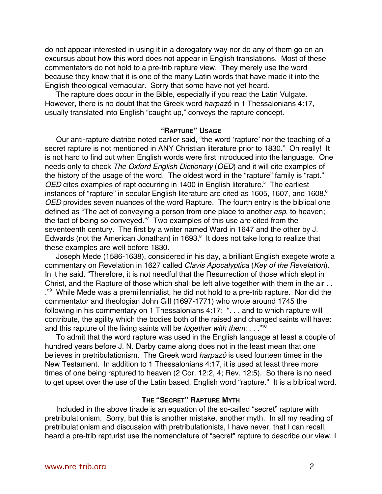do not appear interested in using it in a derogatory way nor do any of them go on an excursus about how this word does not appear in English translations. Most of these commentators do not hold to a pre-trib rapture view. They merely use the word because they know that it is one of the many Latin words that have made it into the English theological vernacular. Sorry that some have not yet heard.

The rapture does occur in the Bible, especially if you read the Latin Vulgate. However, there is no doubt that the Greek word *harpazô* in 1 Thessalonians 4:17, usually translated into English "caught up," conveys the rapture concept.

### **"RAPTURE" USAGE**

Our anti-rapture diatribe noted earlier said, "the word 'rapture' nor the teaching of a secret rapture is not mentioned in ANY Christian literature prior to 1830." Oh really! It is not hard to find out when English words were first introduced into the language. One needs only to check The Oxford English Dictionary (OED) and it will cite examples of the history of the usage of the word. The oldest word in the "rapture" family is "rapt." OED cites examples of rapt occurring in 1400 in English literature.<sup>5</sup> The earliest instances of "rapture" in secular English literature are cited as 1605, 1607, and 1608.<sup>6</sup> OED provides seven nuances of the word Rapture. The fourth entry is the biblical one defined as "The act of conveying a person from one place to another *esp*. to heaven; the fact of being so conveyed." $7\,$  Two examples of this use are cited from the seventeenth century. The first by a writer named Ward in 1647 and the other by J. Edwards (not the American Jonathan) in 1693. $8$  It does not take long to realize that these examples are well before 1830.

Joseph Mede (1586-1638), considered in his day, a brilliant English exegete wrote a commentary on Revelation in 1627 called Clavis Apocalyptica (Key of the Revelation). In it he said, "Therefore, it is not needful that the Resurrection of those which slept in Christ, and the Rapture of those which shall be left alive together with them in the air . . ."<sup>9</sup> While Mede was a premillennialist, he did not hold to a pre-trib rapture. Nor did the commentator and theologian John Gill (1697-1771) who wrote around 1745 the following in his commentary on 1 Thessalonians 4:17: ". . . and to which rapture will contribute, the agility which the bodies both of the raised and changed saints will have: and this rapture of the living saints will be *together with them*;  $\dots$ <sup>10</sup>

To admit that the word rapture was used in the English language at least a couple of hundred years before J. N. Darby came along does not in the least mean that one believes in pretribulationism. The Greek word harpazô is used fourteen times in the New Testament. In addition to 1 Thessalonians 4:17, it is used at least three more times of one being raptured to heaven (2 Cor. 12:2, 4; Rev. 12:5). So there is no need to get upset over the use of the Latin based, English word "rapture." It is a biblical word.

## **THE "SECRET" RAPTURE MYTH**

Included in the above tirade is an equation of the so-called "secret" rapture with pretribulationism. Sorry, but this is another mistake, another myth. In all my reading of pretribulationism and discussion with pretribulationists, I have never, that I can recall, heard a pre-trib rapturist use the nomenclature of "secret" rapture to describe our view. I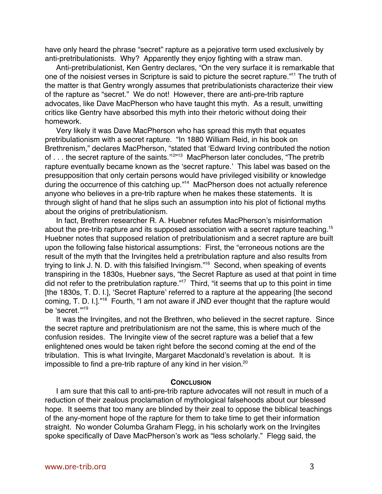have only heard the phrase "secret" rapture as a pejorative term used exclusively by anti-pretribulationists. Why? Apparently they enjoy fighting with a straw man.

Anti-pretribulationist, Ken Gentry declares, "On the very surface it is remarkable that one of the noisiest verses in Scripture is said to picture the secret rapture."<sup>11</sup> The truth of the matter is that Gentry wrongly assumes that pretribulationists characterize their view of the rapture as "secret." We do not! However, there are anti-pre-trib rapture advocates, like Dave MacPherson who have taught this myth. As a result, unwitting critics like Gentry have absorbed this myth into their rhetoric without doing their homework.

Very likely it was Dave MacPherson who has spread this myth that equates pretribulationism with a secret rapture. "In 1880 William Reid, in his book on Brethrenism," declares MacPherson, "stated that 'Edward Irving contributed the notion of . . . the secret rapture of the saints.'<sup>12</sup>"<sup>13</sup> MacPherson later concludes, "The pretrib rapture eventually became known as the 'secret rapture.' This label was based on the presupposition that only certain persons would have privileged visibility or knowledge during the occurrence of this catching up."<sup>14</sup> MacPherson does not actually reference anyone who believes in a pre-trib rapture when he makes these statements. It is through slight of hand that he slips such an assumption into his plot of fictional myths about the origins of pretribulationism.

In fact, Brethren researcher R. A. Huebner refutes MacPherson's misinformation about the pre-trib rapture and its supposed association with a secret rapture teaching.15 Huebner notes that supposed relation of pretribulationism and a secret rapture are built upon the following false historical assumptions: First, the "erroneous notions are the result of the myth that the Irvingites held a pretribulation rapture and also results from trying to link J. N. D. with this falsified Irvingism."<sup>16</sup> Second, when speaking of events transpiring in the 1830s, Huebner says, "the Secret Rapture as used at that point in time did not refer to the pretribulation rapture."<sup>17</sup> Third, "it seems that up to this point in time [the 1830s, T. D. I.], 'Secret Rapture' referred to a rapture at the appearing [the second coming, T. D. I.]."<sup>18</sup> Fourth, "I am not aware if JND ever thought that the rapture would be 'secret."<sup>19</sup>

It was the Irvingites, and not the Brethren, who believed in the secret rapture. Since the secret rapture and pretribulationism are not the same, this is where much of the confusion resides. The Irvingite view of the secret rapture was a belief that a few enlightened ones would be taken right before the second coming at the end of the tribulation. This is what Irvingite, Margaret Macdonald's revelation is about. It is impossible to find a pre-trib rapture of any kind in her vision. $20$ 

#### **CONCLUSION**

I am sure that this call to anti-pre-trib rapture advocates will not result in much of a reduction of their zealous proclamation of mythological falsehoods about our blessed hope. It seems that too many are blinded by their zeal to oppose the biblical teachings of the any-moment hope of the rapture for them to take time to get their information straight. No wonder Columba Graham Flegg, in his scholarly work on the Irvingites spoke specifically of Dave MacPherson's work as "less scholarly." Flegg said, the